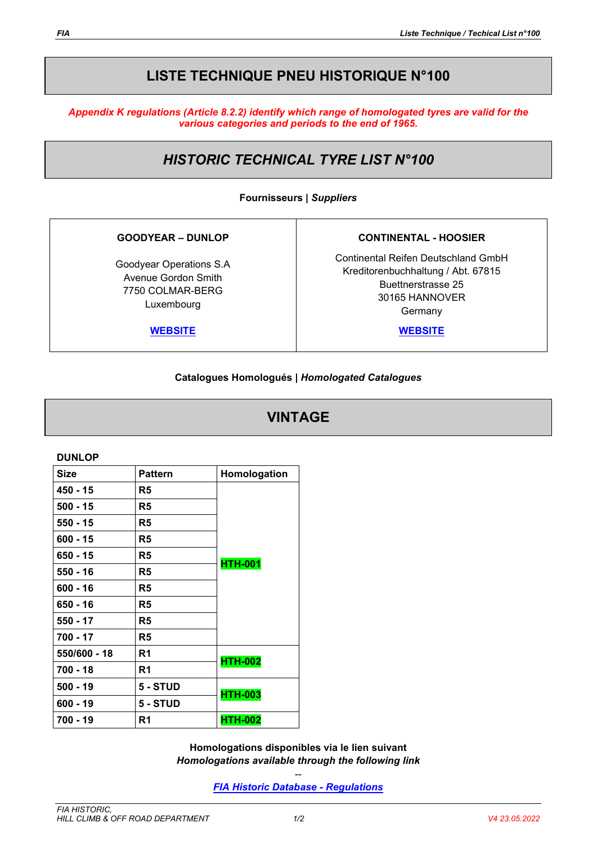## **LISTE TECHNIQUE PNEU HISTORIQUE N°100**

*Appendix K regulations (Article 8.2.2) identify which range of homologated tyres are valid for the various categories and periods to the end of 1965.*

# *HISTORIC TECHNICAL TYRE LIST N°100*

## **Fournisseurs |** *Suppliers*

## **GOODYEAR – DUNLOP**

Goodyear Operations S.A Avenue Gordon Smith 7750 COLMAR-BERG Luxembourg

**[WEBSITE](https://www.goodyear.eu/en_gb/consumer/why-goodyear/goodyear-racing.html)**

### **CONTINENTAL - HOOSIER**

Continental Reifen Deutschland GmbH Kreditorenbuchhaltung / Abt. 67815 Buettnerstrasse 25 30165 HANNOVER **Germany** 

**[WEBSITE](https://www.hoosiertire.com/)**

## **Catalogues Homologués |** *Homologated Catalogues*

## **VINTAGE**

#### **DUNLOP**

| <b>Size</b>  | <b>Pattern</b> | Homologation   |  |
|--------------|----------------|----------------|--|
| $450 - 15$   | R5             | <b>HTH-001</b> |  |
| $500 - 15$   | R5             |                |  |
| 550 - 15     | R <sub>5</sub> |                |  |
| 600 - 15     | R5             |                |  |
| 650 - 15     | R <sub>5</sub> |                |  |
| 550 - 16     | R5             |                |  |
| $600 - 16$   | R5             |                |  |
| 650 - 16     | R5             |                |  |
| $550 - 17$   | R <sub>5</sub> |                |  |
| $700 - 17$   | R <sub>5</sub> |                |  |
| 550/600 - 18 | R1             | <b>HTH-002</b> |  |
| $700 - 18$   | R <sub>1</sub> |                |  |
| $500 - 19$   | 5 - STUD       | <b>HTH-003</b> |  |
| $600 - 19$   | 5 - STUD       |                |  |
| 700 - 19     | R <sub>1</sub> | <b>HTH-002</b> |  |

**Homologations disponibles via le lien suivant** *Homologations available through the following link*

> -- *[FIA Historic Database -](https://historicdb.fia.com/regulations/tyre-homologations) Regulations*